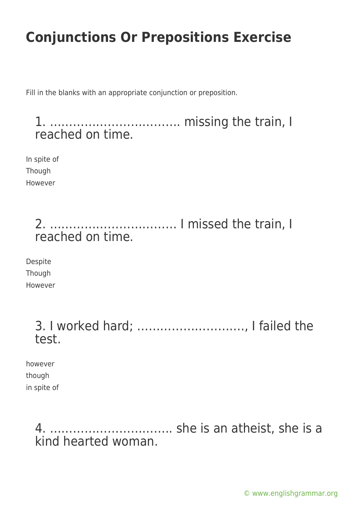Fill in the blanks with an appropriate conjunction or preposition.

1. ……………………………. missing the train, I reached on time.

In spite of Though However

> 2. …………………………… I missed the train, I reached on time.

Despite Though However

> 3. I worked hard; ………………………., I failed the test.

however though in spite of

> 4. ………………………….. she is an atheist, she is a kind hearted woman.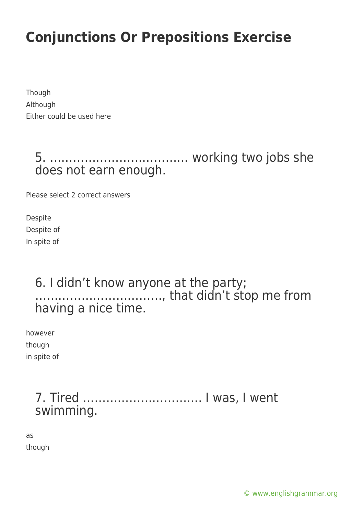Though Although Either could be used here

> 5. ……………………………… working two jobs she does not earn enough.

Please select 2 correct answers

Despite Despite of In spite of

#### 6. I didn't know anyone at the party; ……………………………, that didn't stop me from having a nice time.

however though in spite of

### 7. Tired …………………………. I was, I went swimming.

as though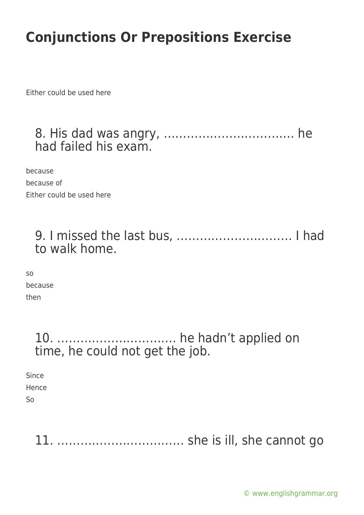Either could be used here

#### 8. His dad was angry, ……………………………. he had failed his exam.

because because of Either could be used here

9. I missed the last bus, ………………………… I had to walk home.

so because then

#### 10. …………………………. he hadn't applied on time, he could not get the job.

Since Hence So

11. …………………………… she is ill, she cannot go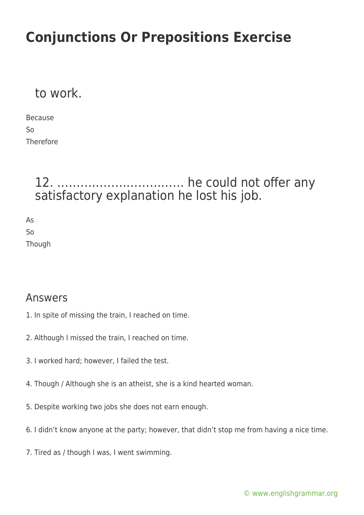#### to work.

Because So Therefore

### 12. …………………………… he could not offer any satisfactory explanation he lost his job.

As So **Though** 

#### Answers

- 1. In spite of missing the train, I reached on time.
- 2. Although I missed the train, I reached on time.
- 3. I worked hard; however, I failed the test.
- 4. Though / Although she is an atheist, she is a kind hearted woman.
- 5. Despite working two jobs she does not earn enough.
- 6. I didn't know anyone at the party; however, that didn't stop me from having a nice time.
- 7. Tired as / though I was, I went swimming.